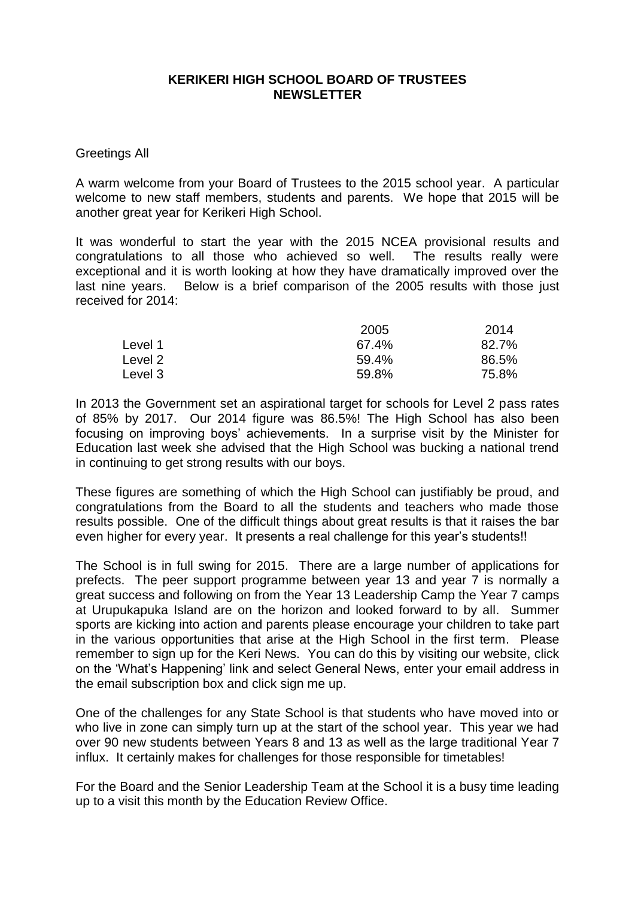## **KERIKERI HIGH SCHOOL BOARD OF TRUSTEES NEWSLETTER**

Greetings All

A warm welcome from your Board of Trustees to the 2015 school year. A particular welcome to new staff members, students and parents. We hope that 2015 will be another great year for Kerikeri High School.

It was wonderful to start the year with the 2015 NCEA provisional results and congratulations to all those who achieved so well. The results really were exceptional and it is worth looking at how they have dramatically improved over the last nine years. Below is a brief comparison of the 2005 results with those just received for 2014:

|         | 2005  | 2014  |
|---------|-------|-------|
| Level 1 | 67.4% | 82.7% |
| Level 2 | 59.4% | 86.5% |
| Level 3 | 59.8% | 75.8% |

In 2013 the Government set an aspirational target for schools for Level 2 pass rates of 85% by 2017. Our 2014 figure was 86.5%! The High School has also been focusing on improving boys' achievements. In a surprise visit by the Minister for Education last week she advised that the High School was bucking a national trend in continuing to get strong results with our boys.

These figures are something of which the High School can justifiably be proud, and congratulations from the Board to all the students and teachers who made those results possible. One of the difficult things about great results is that it raises the bar even higher for every year. It presents a real challenge for this year's students!!

The School is in full swing for 2015. There are a large number of applications for prefects. The peer support programme between year 13 and year 7 is normally a great success and following on from the Year 13 Leadership Camp the Year 7 camps at Urupukapuka Island are on the horizon and looked forward to by all. Summer sports are kicking into action and parents please encourage your children to take part in the various opportunities that arise at the High School in the first term. Please remember to sign up for the Keri News. You can do this by visiting our website, click on the 'What's Happening' link and select General News, enter your email address in the email subscription box and click sign me up.

One of the challenges for any State School is that students who have moved into or who live in zone can simply turn up at the start of the school year. This year we had over 90 new students between Years 8 and 13 as well as the large traditional Year 7 influx. It certainly makes for challenges for those responsible for timetables!

For the Board and the Senior Leadership Team at the School it is a busy time leading up to a visit this month by the Education Review Office.